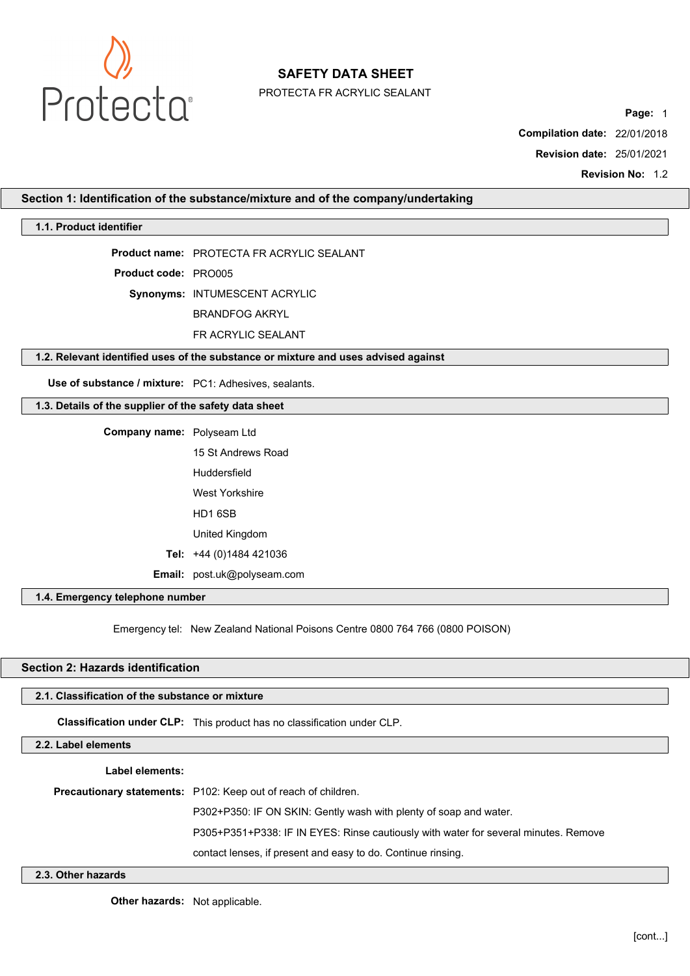

PROTECTA FR ACRYLIC SEALANT

**Page:** 1

**Compilation date:** 22/01/2018

**Revision date:** 25/01/2021

**Revision No: 12** 

**Section 1: Identification of the substance/mixture and of the company/undertaking**

### **1.1. Product identifier**

**Product name:** PROTECTA FR ACRYLIC SEALANT

**Product code:** PRO005

**Synonyms:** INTUMESCENT ACRYLIC

BRANDFOG AKRYL

FR ACRYLIC SEALANT

### **1.2. Relevant identified uses of the substance or mixture and uses advised against**

**Use of substance / mixture:** PC1: Adhesives, sealants.

# **1.3. Details of the supplier of the safety data sheet**

**Company name:** Polyseam Ltd 15 St Andrews Road Huddersfield West Yorkshire HD1 6SB United Kingdom **Tel:** +44 (0)1484 421036 **Email:** post.uk@polyseam.com

# **1.4. Emergency telephone number**

Emergency tel: New Zealand National Poisons Centre 0800 764 766 (0800 POISON)

# **Section 2: Hazards identification**

### **2.1. Classification of the substance or mixture**

**Classification under CLP:** This product has no classification under CLP.

**2.2. Label elements**

**Label elements:**

**Precautionary statements:** P102: Keep out of reach of children.

P302+P350: IF ON SKIN: Gently wash with plenty of soap and water.

P305+P351+P338: IF IN EYES: Rinse cautiously with water for several minutes. Remove

contact lenses, if present and easy to do. Continue rinsing.

#### **2.3. Other hazards**

**Other hazards:** Not applicable.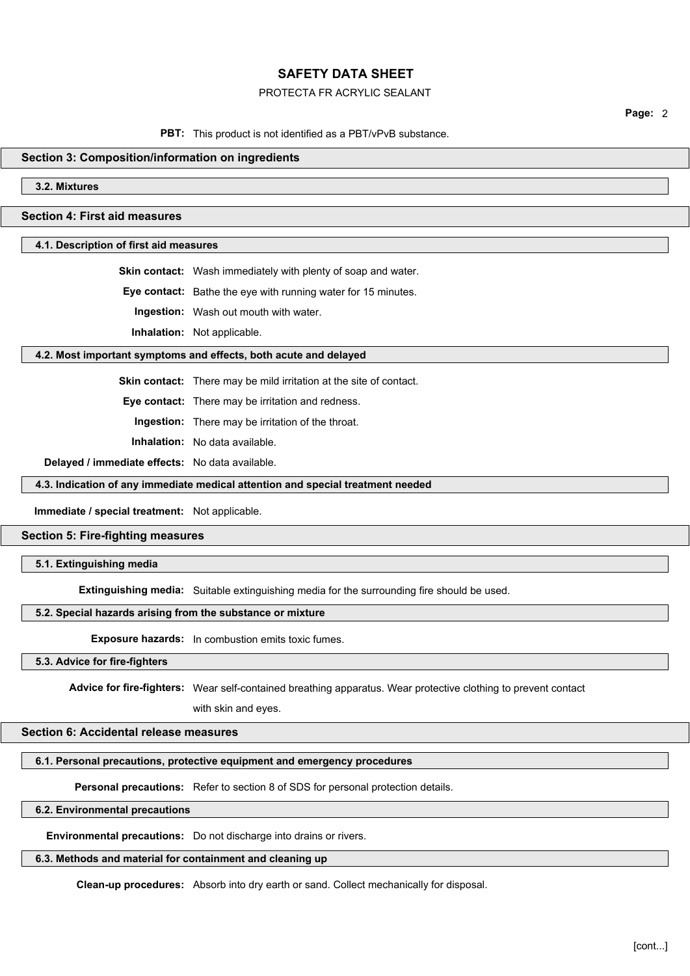# PROTECTA FR ACRYLIC SEALANT

**Page:** 2

# **PBT:** This product is not identified as a PBT/vPvB substance.

### **Section 3: Composition/information on ingredients**

**3.2. Mixtures**

# **Section 4: First aid measures**

# **4.1. Description of first aid measures**

**Skin contact:** Wash immediately with plenty of soap and water.

**Eye contact:** Bathe the eye with running water for 15 minutes.

**Ingestion:** Wash out mouth with water.

**Inhalation:** Not applicable.

#### **4.2. Most important symptoms and effects, both acute and delayed**

**Skin contact:** There may be mild irritation at the site of contact.

**Eye contact:** There may be irritation and redness.

**Ingestion:** There may be irritation of the throat.

**Inhalation:** No data available.

**Delayed / immediate effects:** No data available.

### **4.3. Indication of any immediate medical attention and special treatment needed**

**Immediate / special treatment:** Not applicable.

### **Section 5: Fire-fighting measures**

# **5.1. Extinguishing media**

**Extinguishing media:** Suitable extinguishing media for the surrounding fire should be used.

### **5.2. Special hazards arising from the substance or mixture**

**Exposure hazards:** In combustion emits toxic fumes.

### **5.3. Advice for fire-fighters**

**Advice for fire-fighters:** Wear self-contained breathing apparatus. Wear protective clothing to prevent contact

with skin and eyes.

### **Section 6: Accidental release measures**

#### **6.1. Personal precautions, protective equipment and emergency procedures**

**Personal precautions:** Refer to section 8 of SDS for personal protection details.

### **6.2. Environmental precautions**

**Environmental precautions:** Do not discharge into drains or rivers.

### **6.3. Methods and material for containment and cleaning up**

**Clean-up procedures:** Absorb into dry earth or sand. Collect mechanically for disposal.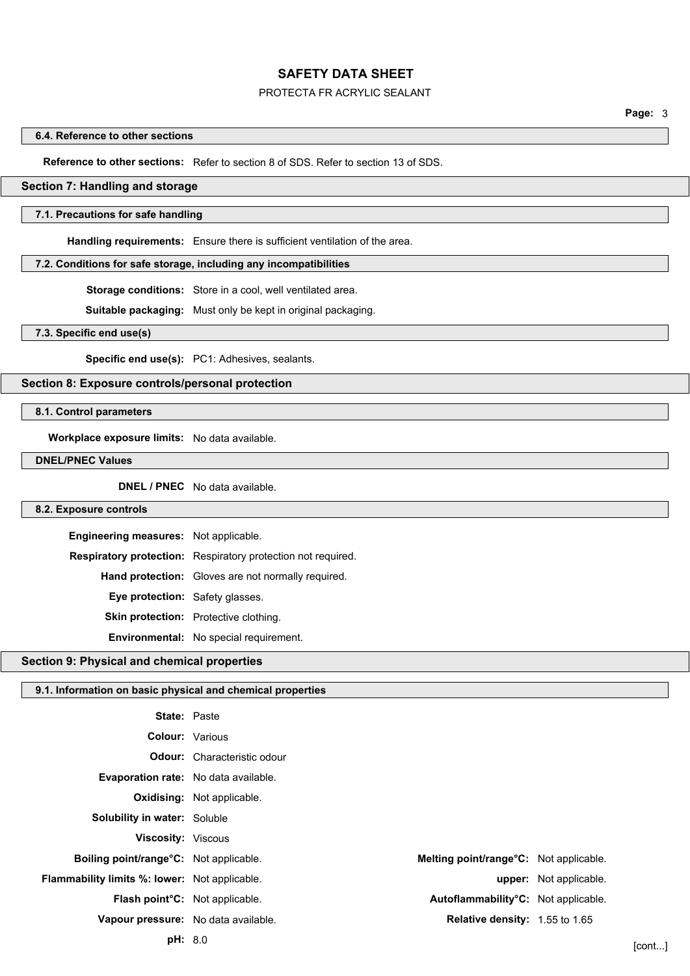# PROTECTA FR ACRYLIC SEALANT

#### **6.4. Reference to other sections**

**Reference to other sections:** Refer to section 8 of SDS. Refer to section 13 of SDS.

### **Section 7: Handling and storage**

### **7.1. Precautions for safe handling**

**Handling requirements:** Ensure there is sufficient ventilation of the area.

# **7.2. Conditions for safe storage, including any incompatibilities**

**Storage conditions:** Store in a cool, well ventilated area.

**Suitable packaging:** Must only be kept in original packaging.

# **7.3. Specific end use(s)**

**Specific end use(s):** PC1: Adhesives, sealants.

### **Section 8: Exposure controls/personal protection**

**8.1. Control parameters**

**Workplace exposure limits:** No data available.

**DNEL/PNEC Values**

**DNEL / PNEC** No data available.

#### **8.2. Exposure controls**

| Engineering measures: Not applicable.  |                                                              |
|----------------------------------------|--------------------------------------------------------------|
|                                        | Respiratory protection: Respiratory protection not required. |
|                                        | <b>Hand protection:</b> Gloves are not normally required.    |
| <b>Eye protection:</b> Safety glasses. |                                                              |
|                                        | <b>Skin protection:</b> Protective clothing.                 |
|                                        | <b>Environmental:</b> No special requirement.                |

# **Section 9: Physical and chemical properties**

# **9.1. Information on basic physical and chemical properties**

| <b>State: Paste</b>                                  |                                        |                        |        |
|------------------------------------------------------|----------------------------------------|------------------------|--------|
|                                                      | <b>Colour:</b> Various                 |                        |        |
|                                                      | <b>Odour:</b> Characteristic odour     |                        |        |
| Evaporation rate: No data available.                 |                                        |                        |        |
|                                                      | <b>Oxidising:</b> Not applicable.      |                        |        |
| <b>Solubility in water: Soluble</b>                  |                                        |                        |        |
| <b>Viscosity: Viscous</b>                            |                                        |                        |        |
| Boiling point/range°C: Not applicable.               | Melting point/range°C: Not applicable. |                        |        |
| <b>Flammability limits %: lower:</b> Not applicable. |                                        | upper: Not applicable. |        |
| <b>Flash point<sup>°</sup>C</b> : Not applicable.    | Autoflammability°C: Not applicable.    |                        |        |
| Vapour pressure: No data available.                  | Relative density: 1.55 to 1.65         |                        |        |
| <b>pH:</b> 8.0                                       |                                        |                        | [cont] |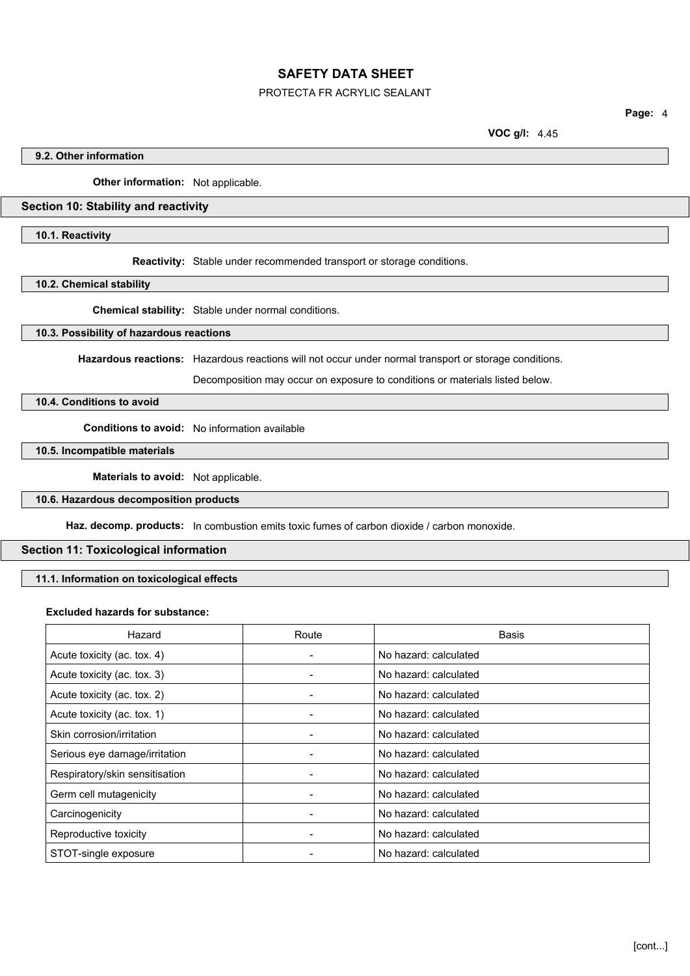# PROTECTA FR ACRYLIC SEALANT

**Page:** 4

**VOC g/l:** 4.45

### **9.2. Other information**

**Other information:** Not applicable.

# **Section 10: Stability and reactivity**

# **10.1. Reactivity**

**Reactivity:** Stable under recommended transport or storage conditions.

# **10.2. Chemical stability**

**Chemical stability:** Stable under normal conditions.

# **10.3. Possibility of hazardous reactions**

**Hazardous reactions:** Hazardous reactions will not occur under normal transport or storage conditions.

Decomposition may occur on exposure to conditions or materials listed below.

# **10.4. Conditions to avoid**

**Conditions to avoid:** No information available

# **10.5. Incompatible materials**

**Materials to avoid:** Not applicable.

# **10.6. Hazardous decomposition products**

**Haz. decomp. products:** In combustion emits toxic fumes of carbon dioxide / carbon monoxide.

# **Section 11: Toxicological information**

**11.1. Information on toxicological effects**

### **Excluded hazards for substance:**

| Hazard                         | Route | Basis                 |
|--------------------------------|-------|-----------------------|
| Acute toxicity (ac. tox. 4)    |       | No hazard: calculated |
| Acute toxicity (ac. tox. 3)    |       | No hazard: calculated |
| Acute toxicity (ac. tox. 2)    |       | No hazard: calculated |
| Acute toxicity (ac. tox. 1)    |       | No hazard: calculated |
| Skin corrosion/irritation      |       | No hazard: calculated |
| Serious eye damage/irritation  |       | No hazard: calculated |
| Respiratory/skin sensitisation |       | No hazard: calculated |
| Germ cell mutagenicity         |       | No hazard: calculated |
| Carcinogenicity                |       | No hazard: calculated |
| Reproductive toxicity          |       | No hazard: calculated |
| STOT-single exposure           |       | No hazard: calculated |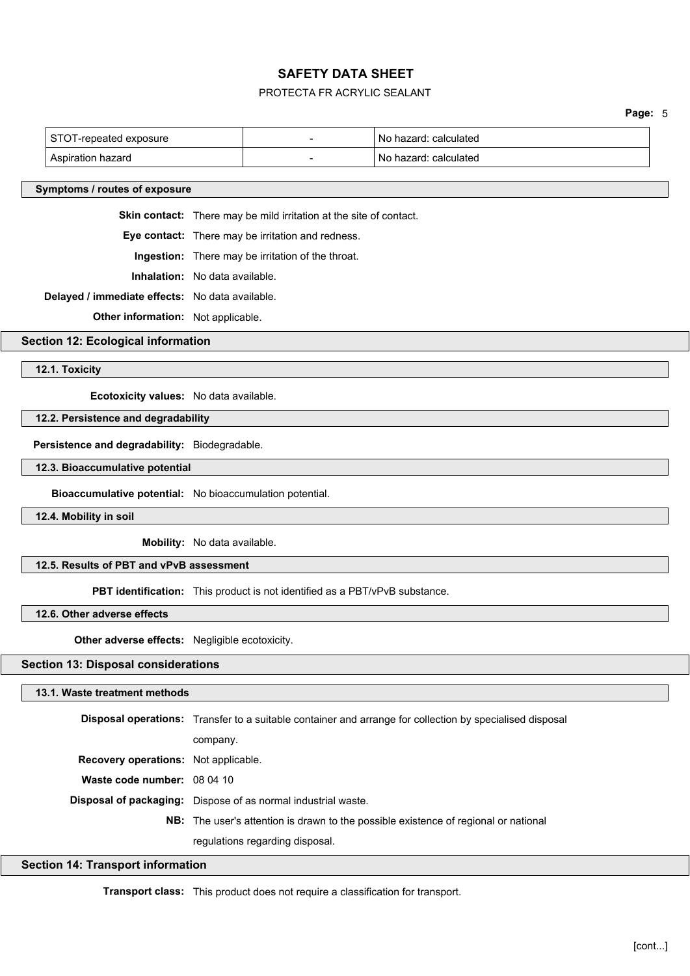# PROTECTA FR ACRYLIC SEALANT

**Page:** 5

| ST0<br>' exposure<br>l-repeated | $\sim$ | calculated<br>. nazar∩<br>N0 |
|---------------------------------|--------|------------------------------|
| hazard<br>Aspiration            |        | calculated<br>hazard<br>No   |

### **Symptoms / routes of exposure**

**Skin contact:** There may be mild irritation at the site of contact.

**Eye contact:** There may be irritation and redness.

**Ingestion:** There may be irritation of the throat.

**Inhalation:** No data available.

**Delayed / immediate effects:** No data available.

**Other information:** Not applicable.

**Section 12: Ecological information**

#### **12.1. Toxicity**

**Ecotoxicity values:** No data available.

#### **12.2. Persistence and degradability**

**Persistence and degradability:** Biodegradable.

# **12.3. Bioaccumulative potential**

**Bioaccumulative potential:** No bioaccumulation potential.

**12.4. Mobility in soil**

**Mobility:** No data available.

# **12.5. Results of PBT and vPvB assessment**

**PBT identification:** This product is not identified as a PBT/vPvB substance.

### **12.6. Other adverse effects**

**Other adverse effects:** Negligible ecotoxicity.

# **Section 13: Disposal considerations**

### **13.1. Waste treatment methods**

|                                             | <b>Disposal operations:</b> Transfer to a suitable container and arrange for collection by specialised disposal |
|---------------------------------------------|-----------------------------------------------------------------------------------------------------------------|
|                                             | company.                                                                                                        |
| <b>Recovery operations:</b> Not applicable. |                                                                                                                 |
| Waste code number: 08 04 10                 |                                                                                                                 |
|                                             | Disposal of packaging: Dispose of as normal industrial waste.                                                   |
|                                             | <b>NB:</b> The user's attention is drawn to the possible existence of regional or national                      |
|                                             | regulations regarding disposal.                                                                                 |

### **Section 14: Transport information**

**Transport class:** This product does not require a classification for transport.